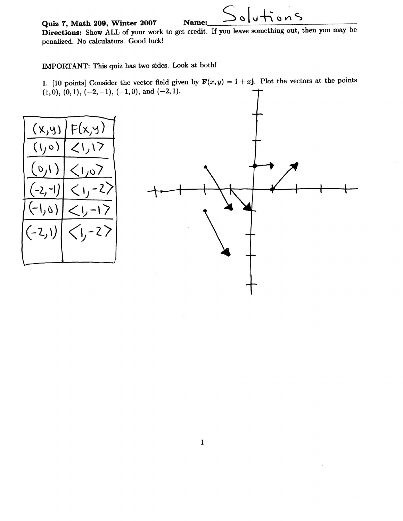Quiz 7, Math 209, Winter 2007

Name: Directions: Show ALL of your work to get credit. If you leave something out, then you may be penalized. No calculators. Good luck!

IMPORTANT: This quiz has two sides. Look at both!

1. [10 points] Consider the vector field given by  $F(x, y) = i + xj$ . Plot the vectors at the points  $(1,0), (0,1), (-2,-1), (-1,0), \text{ and } (-2,1).$ 





 $s$  of  $t$  on  $s$